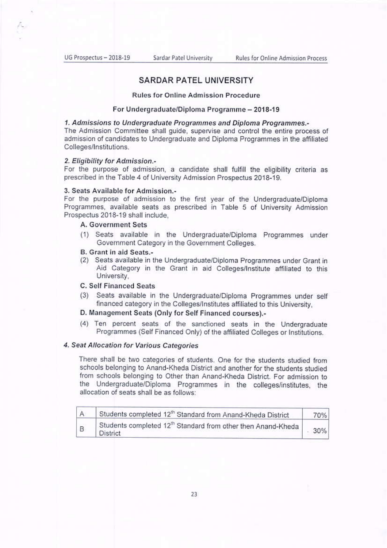## **SARDAR PATEL UNIVERSITY**

#### **Rules for Online Admission Procedure**

#### For Undergraduate/Diploma Programme - 2018-19

## 1. Admissions to Undergraduate Programmes and Diploma Programmes.-

The Admission Committee shall guide, supervise and control the entire process of admission of candidates to Undergraduate and Diploma Programmes in the affiliated Colleges/Institutions.

### 2. Eligibility for Admission.-

For the purpose of admission, a candidate shall fulfill the eligibility criteria as prescribed in the Table 4 of University Admission Prospectus 2018-19.

## 3. Seats Available for Admission.-

For the purpose of admission to the first year of the Undergraduate/Diploma Programmes, available seats as prescribed in Table 5 of University Admission Prospectus 2018-19 shall include,

## A. Government Sets

(1) Seats available in the Undergraduate/Diploma Programmes under Government Category in the Government Colleges.

#### B. Grant in aid Seats.-

(2) Seats available in the Undergraduate/Diploma Programmes under Grant in Aid Category in the Grant in aid Colleges/Institute affiliated to this University.

## **C. Self Financed Seats**

(3) Seats available in the Undergraduate/Diploma Programmes under self financed category in the Colleges/Institutes affiliated to this University.

## D. Management Seats (Only for Self Financed courses).-

(4) Ten percent seats of the sanctioned seats in the Undergraduate Programmes (Self Financed Only) of the affiliated Colleges or Institutions.

## 4. Seat Allocation for Various Categories

There shall be two categories of students. One for the students studied from schools belonging to Anand-Kheda District and another for the students studied from schools belonging to Other than Anand-Kheda District. For admission to the Undergraduate/Diploma Programmes in the colleges/institutes, the allocation of seats shall be as follows:

| $\mathcal{A}$ | Students completed 12th Standard from Anand-Kheda District                             | 70% |
|---------------|----------------------------------------------------------------------------------------|-----|
| B             | Students completed 12 <sup>th</sup> Standard from other then Anand-Kheda  <br>District | 30% |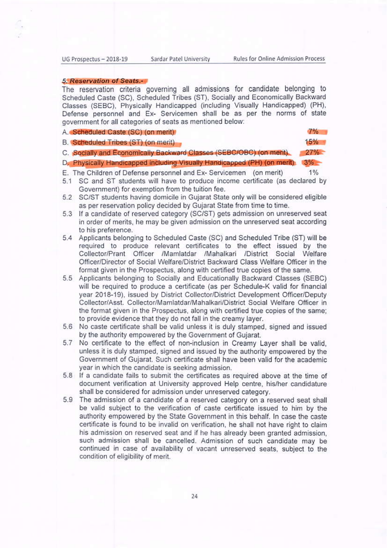Sardar Patel University

#### **5. Reservation of Seats.-**

The reservation criteria governing all admissions for candidate belonging to Scheduled Caste (SC), Scheduled Tribes (ST), Socially and Economically Backward Classes (SEBC), Physically Handicapped (including Visually Handicapped) (PH), Defense personnel and Ex- Servicemen shall be as per the norms of state government for all categories of seats as mentioned below:

|  |  |  |  | A. Scheduled Caste (SC) (on merit) |
|--|--|--|--|------------------------------------|
|--|--|--|--|------------------------------------|

 $7%$ 

 $15%$ 

 $1%$ 

B. Scheduled Tribes (ST) (on merit)

C. Socially and Economically Backward Classes (SEBC/OBC) (on merit)  $27%$ 

D. Physically Handicapped including Visually Handicapped (PH) (on merit) 3%

E. The Children of Defense personnel and Ex- Servicemen (on merit)

- 5.1 SC and ST students will have to produce income certificate (as declared by Government) for exemption from the tuition fee.
- 5.2 SC/ST students having domicile in Guiarat State only will be considered eligible as per reservation policy decided by Gujarat State from time to time.
- 5.3 If a candidate of reserved category (SC/ST) gets admission on unreserved seat in order of merits, he may be given admission on the unreserved seat according to his preference.
- 5.4 Applicants belonging to Scheduled Caste (SC) and Scheduled Tribe (ST) will be required to produce relevant certificates to the effect issued by the Collector/Prant Officer /Mamlatdar /Mahalkari /District Social Welfare Officer/Director of Social Welfare/District Backward Class Welfare Officer in the format given in the Prospectus, along with certified true copies of the same.
- 5.5 Applicants belonging to Socially and Educationally Backward Classes (SEBC) will be required to produce a certificate (as per Schedule-K valid for financial year 2018-19), issued by District Collector/District Development Officer/Deputy Collector/Asst. Collector/Mamlatdar/Mahalkari/District Social Welfare Officer in the format given in the Prospectus, along with certified true copies of the same: to provide evidence that they do not fall in the creamy layer.
- 5.6 No caste certificate shall be valid unless it is duly stamped, signed and issued by the authority empowered by the Government of Gujarat.
- 5.7 No certificate to the effect of non-inclusion in Creamy Layer shall be valid. unless it is duly stamped, signed and issued by the authority empowered by the Government of Gujarat. Such certificate shall have been valid for the academic year in which the candidate is seeking admission.
- 5.8 If a candidate fails to submit the certificates as required above at the time of document verification at University approved Help centre, his/her candidature shall be considered for admission under unreserved category.
- 5.9 The admission of a candidate of a reserved category on a reserved seat shall be valid subject to the verification of caste certificate issued to him by the authority empowered by the State Government in this behalf. In case the caste certificate is found to be invalid on verification, he shall not have right to claim his admission on reserved seat and if he has already been granted admission. such admission shall be cancelled. Admission of such candidate may be continued in case of availability of vacant unreserved seats, subject to the condition of eligibility of merit.